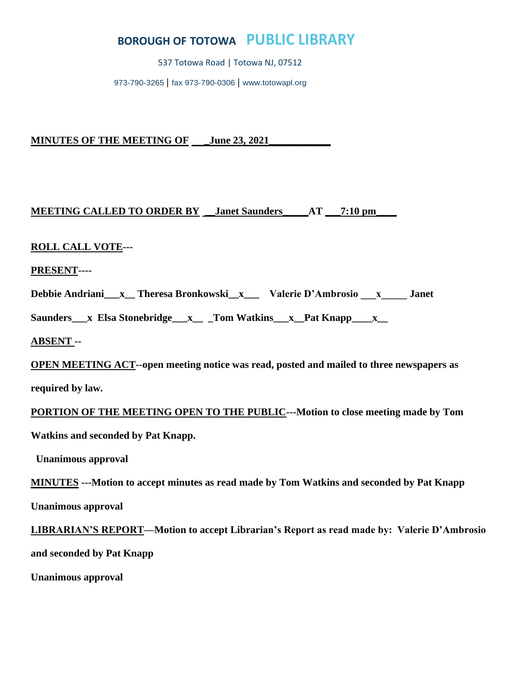# **BOROUGH OF TOTOWA PUBLIC LIBRARY**

537 Totowa Road | Totowa NJ, 07512

973-790-3265 | fax 973-790-0306 | [www.totowapl.org](http://www.totowapl.org/)

**MINUTES OF THE MEETING OF \_June 23, 2021\_\_\_\_\_\_\_\_\_\_\_\_**

# **MEETING CALLED TO ORDER BY \_\_Janet Saunders\_\_\_\_\_AT \_\_\_7:10 pm\_\_\_\_**

# **ROLL CALL VOTE---**

**PRESENT----**

**Debbie Andriani\_\_\_x\_\_ Theresa Bronkowski\_\_x\_\_\_ Valerie D'Ambrosio \_\_\_x\_\_\_\_\_ Janet** 

Saunders\_\_\_x Elsa Stonebridge\_\_\_x\_\_\_\_Tom Watkins\_\_\_x\_\_Pat Knapp\_\_\_\_x\_\_

**ABSENT --** 

**OPEN MEETING ACT--open meeting notice was read, posted and mailed to three newspapers as required by law.**

**PORTION OF THE MEETING OPEN TO THE PUBLIC---Motion to close meeting made by Tom Watkins and seconded by Pat Knapp.**

 **Unanimous approval**

**MINUTES ---Motion to accept minutes as read made by Tom Watkins and seconded by Pat Knapp** 

**Unanimous approval**

**LIBRARIAN'S REPORT—Motion to accept Librarian's Report as read made by: Valerie D'Ambrosio** 

**and seconded by Pat Knapp** 

**Unanimous approval**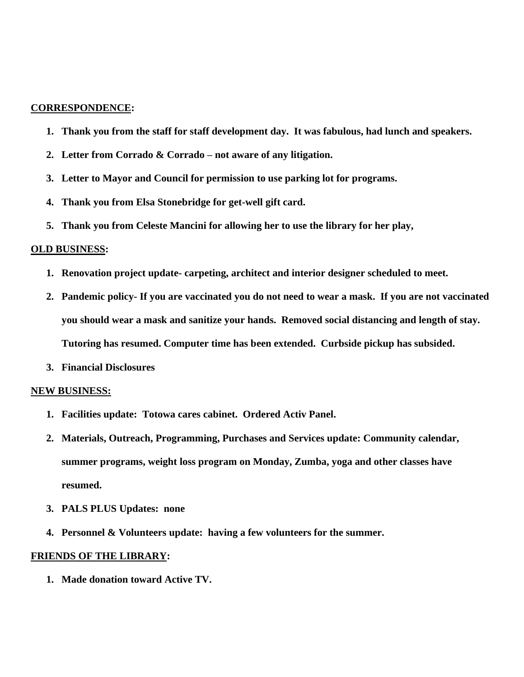#### **CORRESPONDENCE:**

- **1. Thank you from the staff for staff development day. It was fabulous, had lunch and speakers.**
- **2. Letter from Corrado & Corrado – not aware of any litigation.**
- **3. Letter to Mayor and Council for permission to use parking lot for programs.**
- **4. Thank you from Elsa Stonebridge for get-well gift card.**
- **5. Thank you from Celeste Mancini for allowing her to use the library for her play,**

#### **OLD BUSINESS:**

- **1. Renovation project update- carpeting, architect and interior designer scheduled to meet.**
- **2. Pandemic policy- If you are vaccinated you do not need to wear a mask. If you are not vaccinated you should wear a mask and sanitize your hands. Removed social distancing and length of stay. Tutoring has resumed. Computer time has been extended. Curbside pickup has subsided.**
- **3. Financial Disclosures**

#### **NEW BUSINESS:**

- **1. Facilities update: Totowa cares cabinet. Ordered Activ Panel.**
- **2. Materials, Outreach, Programming, Purchases and Services update: Community calendar, summer programs, weight loss program on Monday, Zumba, yoga and other classes have resumed.**
- **3. PALS PLUS Updates: none**
- **4. Personnel & Volunteers update: having a few volunteers for the summer.**

#### **FRIENDS OF THE LIBRARY:**

**1. Made donation toward Active TV.**